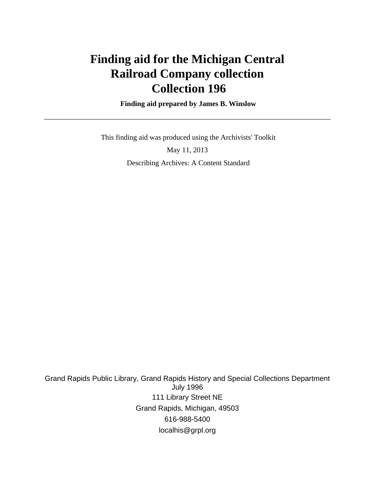# **Finding aid for the Michigan Central Railroad Company collection Collection 196**

 **Finding aid prepared by James B. Winslow**

This finding aid was produced using the Archivists' Toolkit

May 11, 2013 Describing Archives: A Content Standard

Grand Rapids Public Library, Grand Rapids History and Special Collections Department July 1996 111 Library Street NE Grand Rapids, Michigan, 49503 616-988-5400 localhis@grpl.org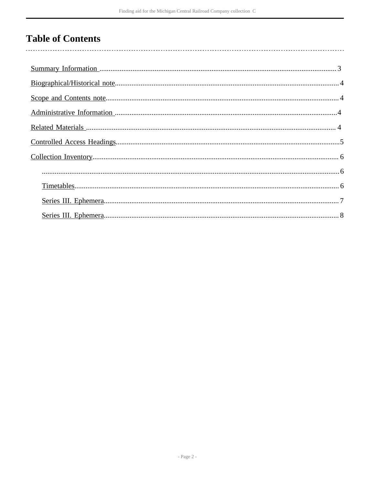# **Table of Contents**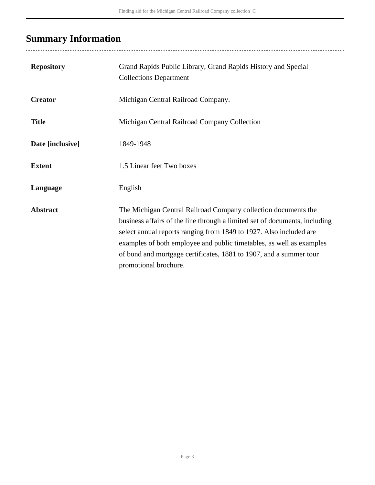# <span id="page-2-0"></span>**Summary Information**

| <b>Repository</b> | Grand Rapids Public Library, Grand Rapids History and Special<br><b>Collections Department</b>                                                                                                                                                                                                                                                                                            |
|-------------------|-------------------------------------------------------------------------------------------------------------------------------------------------------------------------------------------------------------------------------------------------------------------------------------------------------------------------------------------------------------------------------------------|
| <b>Creator</b>    | Michigan Central Railroad Company.                                                                                                                                                                                                                                                                                                                                                        |
| <b>Title</b>      | Michigan Central Railroad Company Collection                                                                                                                                                                                                                                                                                                                                              |
| Date [inclusive]  | 1849-1948                                                                                                                                                                                                                                                                                                                                                                                 |
| <b>Extent</b>     | 1.5 Linear feet Two boxes                                                                                                                                                                                                                                                                                                                                                                 |
| Language          | English                                                                                                                                                                                                                                                                                                                                                                                   |
| <b>Abstract</b>   | The Michigan Central Railroad Company collection documents the<br>business affairs of the line through a limited set of documents, including<br>select annual reports ranging from 1849 to 1927. Also included are<br>examples of both employee and public timetables, as well as examples<br>of bond and mortgage certificates, 1881 to 1907, and a summer tour<br>promotional brochure. |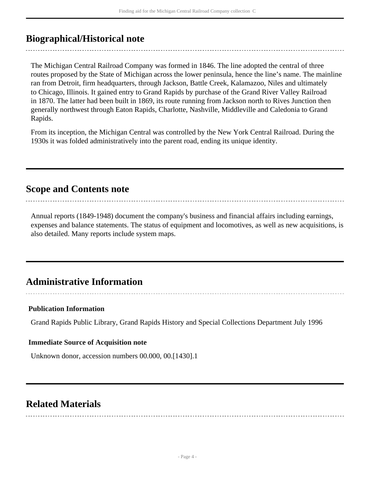## <span id="page-3-0"></span>**Biographical/Historical note**

The Michigan Central Railroad Company was formed in 1846. The line adopted the central of three routes proposed by the State of Michigan across the lower peninsula, hence the line's name. The mainline ran from Detroit, firm headquarters, through Jackson, Battle Creek, Kalamazoo, Niles and ultimately to Chicago, Illinois. It gained entry to Grand Rapids by purchase of the Grand River Valley Railroad in 1870. The latter had been built in 1869, its route running from Jackson north to Rives Junction then generally northwest through Eaton Rapids, Charlotte, Nashville, Middleville and Caledonia to Grand Rapids.

From its inception, the Michigan Central was controlled by the New York Central Railroad. During the 1930s it was folded administratively into the parent road, ending its unique identity.

## <span id="page-3-1"></span>**Scope and Contents note**

Annual reports (1849-1948) document the company's business and financial affairs including earnings, expenses and balance statements. The status of equipment and locomotives, as well as new acquisitions, is also detailed. Many reports include system maps.

## <span id="page-3-2"></span>**Administrative Information**

#### **Publication Information**

Grand Rapids Public Library, Grand Rapids History and Special Collections Department July 1996

#### **Immediate Source of Acquisition note**

Unknown donor, accession numbers 00.000, 00.[1430].1

## <span id="page-3-3"></span>**Related Materials**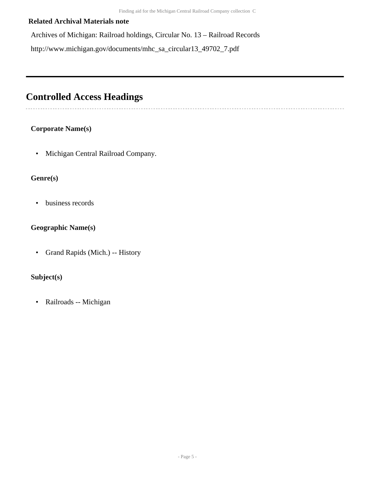### **Related Archival Materials note**

Archives of Michigan: Railroad holdings, Circular No. 13 – Railroad Records http://www.michigan.gov/documents/mhc\_sa\_circular13\_49702\_7.pdf

## <span id="page-4-0"></span>**Controlled Access Headings**

### **Corporate Name(s)**

• Michigan Central Railroad Company.

### **Genre(s)**

• business records

## **Geographic Name(s)**

• Grand Rapids (Mich.) -- History

## **Subject(s)**

• Railroads -- Michigan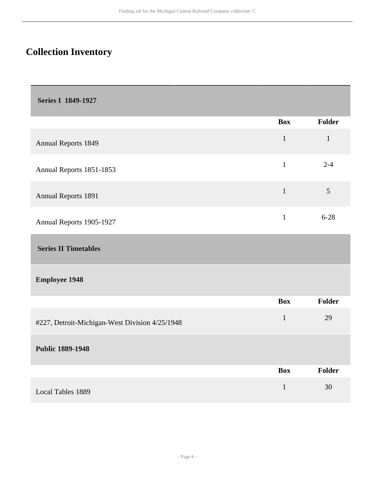# <span id="page-5-0"></span>**Collection Inventory**

<span id="page-5-1"></span>

|                                                | <b>Box</b>   | Folder       |
|------------------------------------------------|--------------|--------------|
| <b>Annual Reports 1849</b>                     | $\mathbf{1}$ | $\mathbf{1}$ |
| Annual Reports 1851-1853                       | $\mathbf{1}$ | $2 - 4$      |
| <b>Annual Reports 1891</b>                     | $\mathbf{1}$ | 5            |
| Annual Reports 1905-1927                       | $\mathbf{1}$ | $6 - 28$     |
| <b>Series II Timetables</b>                    |              |              |
| <b>Employee 1948</b>                           |              |              |
|                                                | <b>Box</b>   | Folder       |
| #227, Detroit-Michigan-West Division 4/25/1948 | $\mathbf{1}$ | 29           |
| <b>Public 1889-1948</b>                        |              |              |
|                                                | <b>Box</b>   | Folder       |
| <b>Local Tables 1889</b>                       | $\mathbf{1}$ | 30           |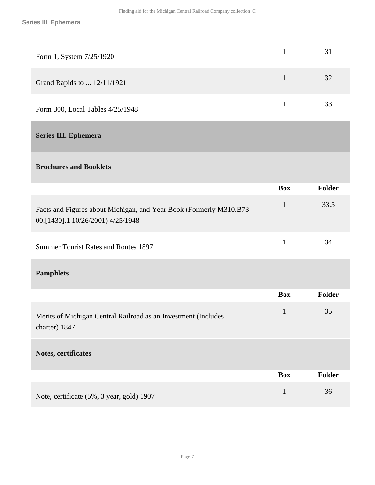<span id="page-6-0"></span>

| Form 1, System 7/25/1920                                                                                | $\mathbf{1}$ | 31            |
|---------------------------------------------------------------------------------------------------------|--------------|---------------|
| Grand Rapids to  12/11/1921                                                                             | $\mathbf{1}$ | 32            |
| Form 300, Local Tables 4/25/1948                                                                        | $\mathbf{1}$ | 33            |
| <b>Series III. Ephemera</b>                                                                             |              |               |
| <b>Brochures and Booklets</b>                                                                           |              |               |
|                                                                                                         | <b>Box</b>   | <b>Folder</b> |
| Facts and Figures about Michigan, and Year Book (Formerly M310.B73<br>00.[1430].1 10/26/2001) 4/25/1948 | $\mathbf{1}$ | 33.5          |
| <b>Summer Tourist Rates and Routes 1897</b>                                                             | $\mathbf{1}$ | 34            |
| <b>Pamphlets</b>                                                                                        |              |               |
|                                                                                                         | <b>Box</b>   | Folder        |
| Merits of Michigan Central Railroad as an Investment (Includes<br>charter) 1847                         | $\mathbf{1}$ | 35            |
| Notes, certificates                                                                                     |              |               |
|                                                                                                         | <b>Box</b>   | Folder        |
| Note, certificate (5%, 3 year, gold) 1907                                                               | $\mathbf{1}$ | 36            |